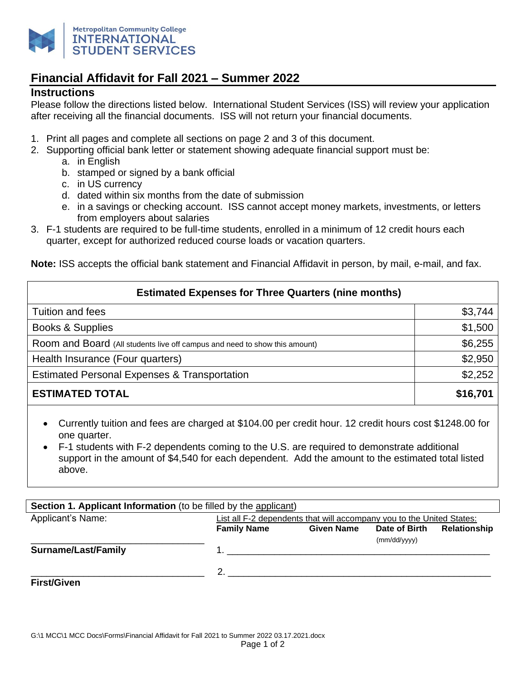

## **Financial Affidavit for Fall 2021 – Summer 2022**

## **Instructions**

Please follow the directions listed below. International Student Services (ISS) will review your application after receiving all the financial documents. ISS will not return your financial documents.

- 1. Print all pages and complete all sections on page 2 and 3 of this document.
- 2. Supporting official bank letter or statement showing adequate financial support must be:
	- a. in English
	- b. stamped or signed by a bank official
	- c. in US currency
	- d. dated within six months from the date of submission
	- e. in a savings or checking account. ISS cannot accept money markets, investments, or letters from employers about salaries
- 3. F-1 students are required to be full-time students, enrolled in a minimum of 12 credit hours each quarter, except for authorized reduced course loads or vacation quarters.

**Note:** ISS accepts the official bank statement and Financial Affidavit in person, by mail, e-mail, and fax.

| <b>Estimated Expenses for Three Quarters (nine months)</b>                 |          |  |  |
|----------------------------------------------------------------------------|----------|--|--|
| Tuition and fees                                                           | \$3,744  |  |  |
| <b>Books &amp; Supplies</b>                                                | \$1,500  |  |  |
| Room and Board (All students live off campus and need to show this amount) | \$6,255  |  |  |
| Health Insurance (Four quarters)                                           | \$2,950  |  |  |
| <b>Estimated Personal Expenses &amp; Transportation</b>                    | \$2,252  |  |  |
| <b>ESTIMATED TOTAL</b>                                                     | \$16,701 |  |  |

- Currently tuition and fees are charged at \$104.00 per credit hour. 12 credit hours cost \$1248.00 for one quarter.
- F-1 students with F-2 dependents coming to the U.S. are required to demonstrate additional support in the amount of \$4,540 for each dependent. Add the amount to the estimated total listed above.

| <b>Section 1. Applicant Information</b> (to be filled by the applicant) |                    |                                                                       |               |              |
|-------------------------------------------------------------------------|--------------------|-----------------------------------------------------------------------|---------------|--------------|
| Applicant's Name:                                                       |                    | List all F-2 dependents that will accompany you to the United States: |               |              |
|                                                                         | <b>Family Name</b> | <b>Given Name</b>                                                     | Date of Birth | Relationship |
|                                                                         |                    |                                                                       | (mm/dd/yyyy)  |              |
| Surname/Last/Family                                                     |                    |                                                                       |               |              |
|                                                                         |                    |                                                                       |               |              |
|                                                                         |                    |                                                                       |               |              |
| <b>First/Given</b>                                                      |                    |                                                                       |               |              |